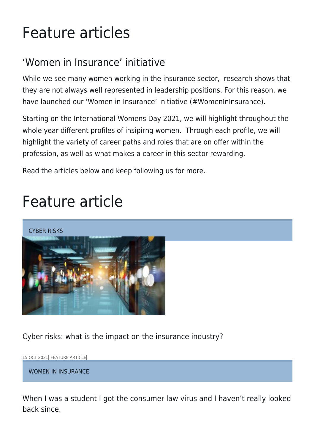## Feature articles

## 'Women in Insurance' initiative

While we see many women working in the insurance sector, research shows that they are not always well represented in leadership positions. For this reason, we have launched our 'Women in Insurance' initiative (#WomenInInsurance).

Starting on the International Womens Day 2021, we will highlight throughout the whole year different profiles of insipirng women. Through each profile, we will highlight the variety of career paths and roles that are on offer within the profession, as well as what makes a career in this sector rewarding.

Read the articles below and keep following us for more.

## Feature article

CYBER RISKS



Cyber risks: what is the impact on the insurance industry?

15 OCT 2021 FEATURE ARTICLE

WOMEN IN INSURANCE

When I was a student I got the consumer law virus and I haven't really looked back since.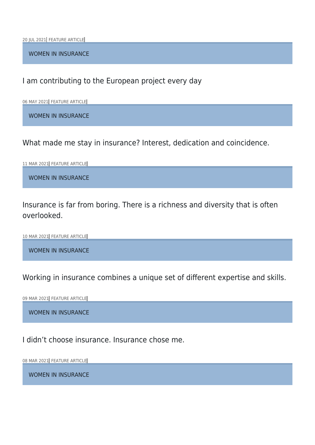20 JUL 2021 FEATURE ARTICLE

WOMEN IN INSURANCE

I am contributing to the European project every day

06 MAY 2021 FEATURE ARTICLE

WOMEN IN INSURANCE

What made me stay in insurance? Interest, dedication and coincidence.

11 MAR 2021 FEATURE ARTICLE

WOMEN IN INSURANCE

Insurance is far from boring. There is a richness and diversity that is often overlooked.

10 MAR 2021 FEATURE ARTICLE

WOMEN IN INSURANCE

Working in insurance combines a unique set of different expertise and skills.

09 MAR 2021 FEATURE ARTICLE

WOMEN IN INSURANCE

I didn't choose insurance. Insurance chose me.

08 MAR 2021 FEATURE ARTICLE

WOMEN IN INSURANCE